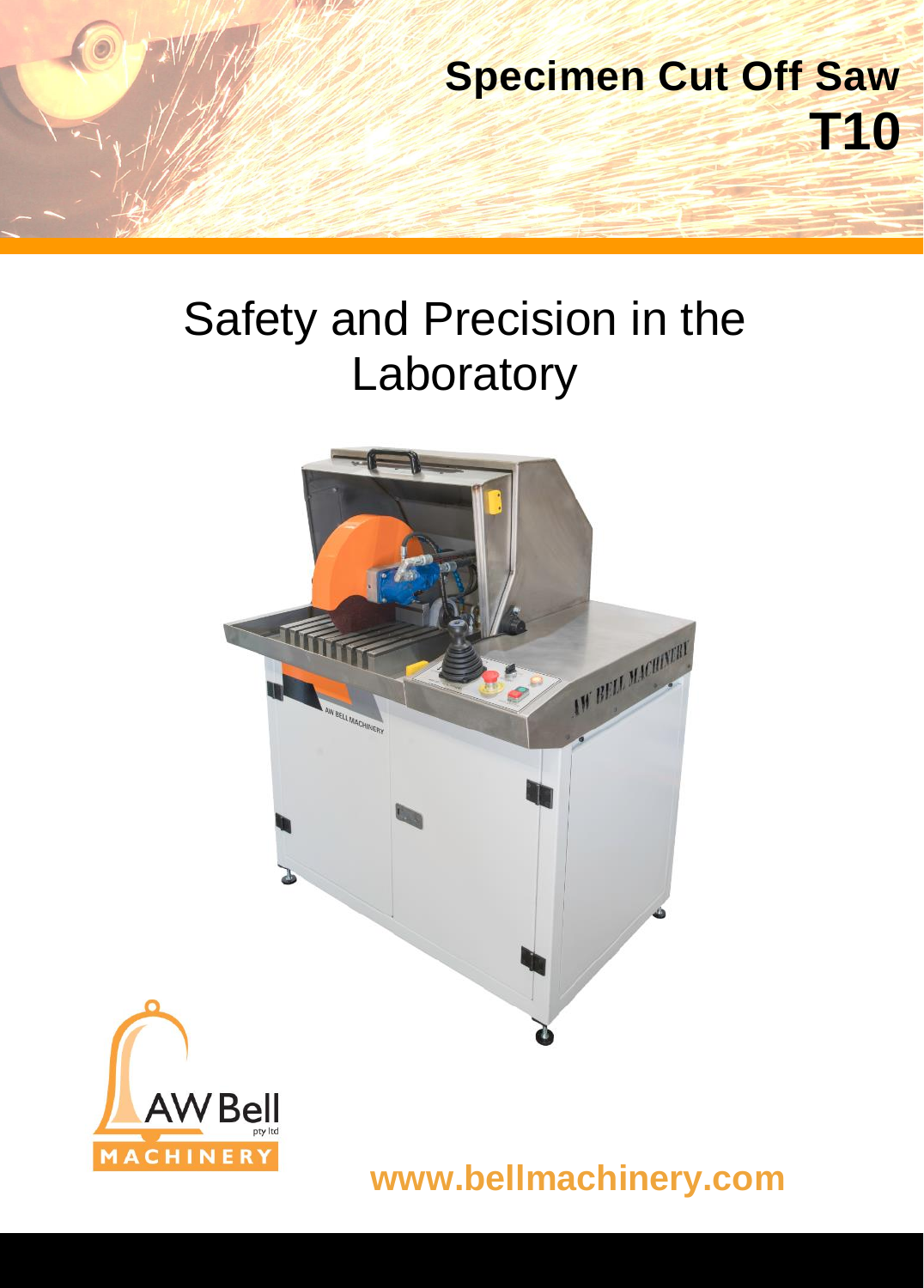

# Safety and Precision in the Laboratory





**www.bellmachinery.com**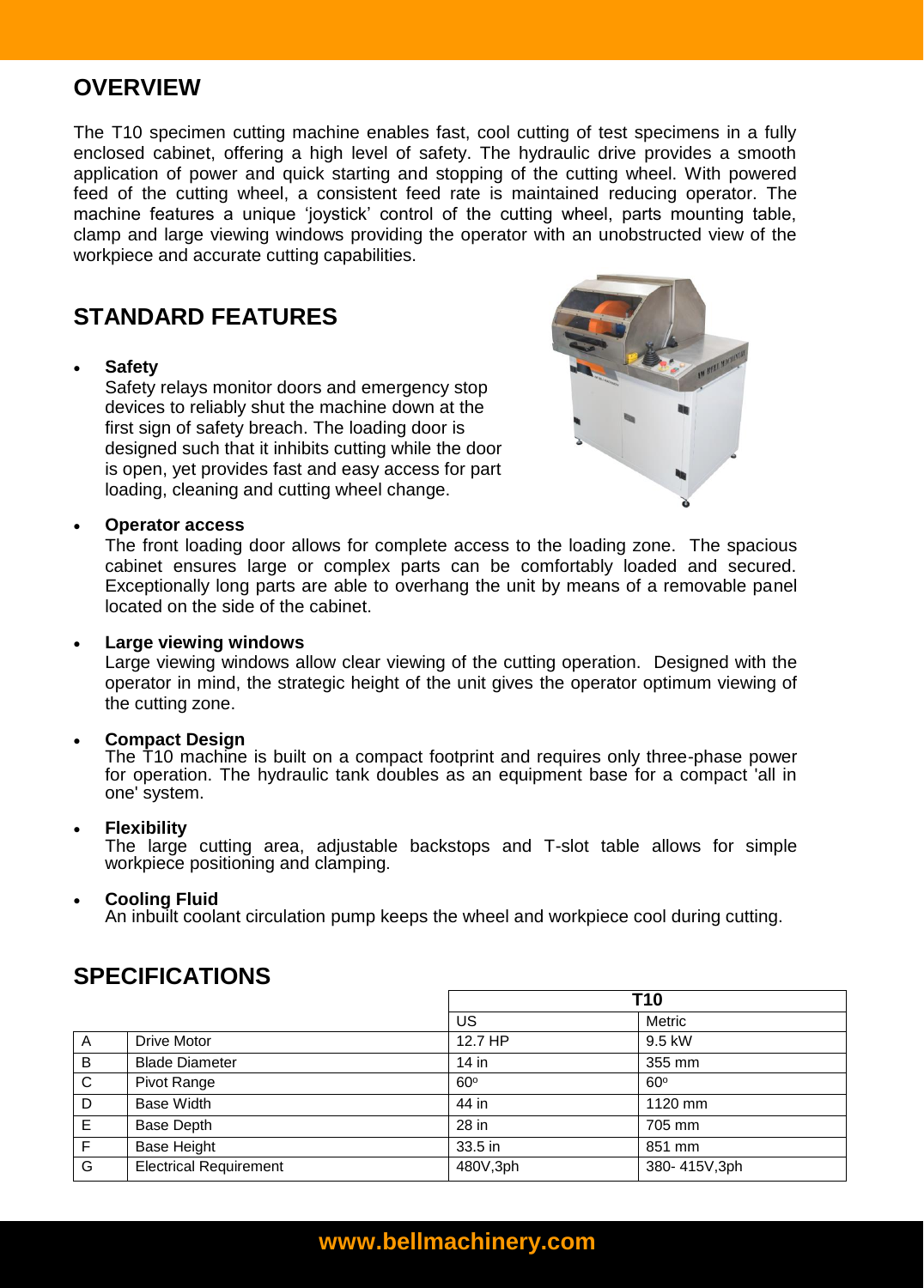# **OVERVIEW**

The T10 specimen cutting machine enables fast, cool cutting of test specimens in a fully enclosed cabinet, offering a high level of safety. The hydraulic drive provides a smooth application of power and quick starting and stopping of the cutting wheel. With powered feed of the cutting wheel, a consistent feed rate is maintained reducing operator. The machine features a unique 'joystick' control of the cutting wheel, parts mounting table, clamp and large viewing windows providing the operator with an unobstructed view of the workpiece and accurate cutting capabilities.

# **STANDARD FEATURES**

### **Safety**

Safety relays monitor doors and emergency stop devices to reliably shut the machine down at the first sign of safety breach. The loading door is designed such that it inhibits cutting while the door is open, yet provides fast and easy access for part loading, cleaning and cutting wheel change.



#### **Operator access**

The front loading door allows for complete access to the loading zone. The spacious cabinet ensures large or complex parts can be comfortably loaded and secured. Exceptionally long parts are able to overhang the unit by means of a removable panel located on the side of the cabinet.

#### **Large viewing windows**

Large viewing windows allow clear viewing of the cutting operation. Designed with the operator in mind, the strategic height of the unit gives the operator optimum viewing of the cutting zone.

#### **Compact Design**

The T10 machine is built on a compact footprint and requires only three-phase power for operation. The hydraulic tank doubles as an equipment base for a compact 'all in one' system.

#### **Flexibility**

The large cutting area, adjustable backstops and T-slot table allows for simple workpiece positioning and clamping.

#### **Cooling Fluid**

An inbuilt coolant circulation pump keeps the wheel and workpiece cool during cutting.

|              |                               | T10        |              |
|--------------|-------------------------------|------------|--------------|
|              |                               | US         | Metric       |
| A            | Drive Motor                   | 12.7 HP    | 9.5 kW       |
| B            | <b>Blade Diameter</b>         | $14$ in    | 355 mm       |
| $\mathsf{C}$ | Pivot Range                   | $60^\circ$ | $60^\circ$   |
| D            | <b>Base Width</b>             | 44 in      | 1120 mm      |
| Е            | <b>Base Depth</b>             | 28 in      | 705 mm       |
| F            | <b>Base Height</b>            | 33.5 in    | 851 mm       |
| G            | <b>Electrical Requirement</b> | 480V,3ph   | 380-415V,3ph |

# **SPECIFICATIONS**

## **www.bellmachinery.com**